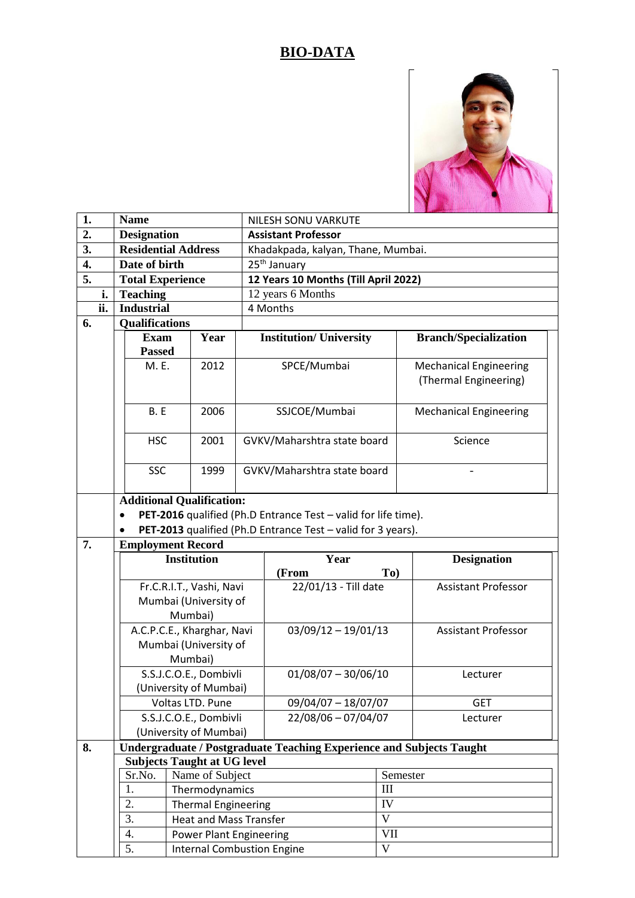## **BIO-DATA**



| 1.  | <b>Name</b>                                                    |                                                  |  | <b>NILESH SONU VARKUTE</b>                                                  |                               |  |  |  |  |  |
|-----|----------------------------------------------------------------|--------------------------------------------------|--|-----------------------------------------------------------------------------|-------------------------------|--|--|--|--|--|
| 2.  | <b>Designation</b>                                             |                                                  |  | <b>Assistant Professor</b>                                                  |                               |  |  |  |  |  |
| 3.  | <b>Residential Address</b>                                     |                                                  |  | Khadakpada, kalyan, Thane, Mumbai.                                          |                               |  |  |  |  |  |
| 4.  | Date of birth                                                  |                                                  |  | 25 <sup>th</sup> January                                                    |                               |  |  |  |  |  |
| 5.  | <b>Total Experience</b>                                        |                                                  |  | 12 Years 10 Months (Till April 2022)                                        |                               |  |  |  |  |  |
| i.  | <b>Teaching</b>                                                |                                                  |  | 12 years 6 Months                                                           |                               |  |  |  |  |  |
| ii. | <b>Industrial</b>                                              |                                                  |  | 4 Months                                                                    |                               |  |  |  |  |  |
| 6.  | <b>Qualifications</b>                                          |                                                  |  |                                                                             |                               |  |  |  |  |  |
|     | <b>Exam</b>                                                    | Year                                             |  | <b>Institution/ University</b>                                              | <b>Branch/Specialization</b>  |  |  |  |  |  |
|     | <b>Passed</b>                                                  |                                                  |  |                                                                             |                               |  |  |  |  |  |
|     | M. E.                                                          | 2012                                             |  | SPCE/Mumbai                                                                 | <b>Mechanical Engineering</b> |  |  |  |  |  |
|     |                                                                |                                                  |  |                                                                             | (Thermal Engineering)         |  |  |  |  |  |
|     |                                                                |                                                  |  |                                                                             |                               |  |  |  |  |  |
|     | B.E                                                            | 2006                                             |  | SSJCOE/Mumbai                                                               | <b>Mechanical Engineering</b> |  |  |  |  |  |
|     | <b>HSC</b>                                                     | 2001                                             |  | GVKV/Maharshtra state board                                                 | Science                       |  |  |  |  |  |
|     |                                                                |                                                  |  |                                                                             |                               |  |  |  |  |  |
|     | <b>SSC</b>                                                     | 1999                                             |  | GVKV/Maharshtra state board                                                 |                               |  |  |  |  |  |
|     |                                                                |                                                  |  |                                                                             |                               |  |  |  |  |  |
|     | <b>Additional Qualification:</b>                               |                                                  |  |                                                                             |                               |  |  |  |  |  |
|     | PET-2016 qualified (Ph.D Entrance Test - valid for life time). |                                                  |  |                                                                             |                               |  |  |  |  |  |
|     |                                                                |                                                  |  | PET-2013 qualified (Ph.D Entrance Test - valid for 3 years).                |                               |  |  |  |  |  |
|     |                                                                |                                                  |  |                                                                             |                               |  |  |  |  |  |
| 7.  | <b>Employment Record</b>                                       |                                                  |  |                                                                             |                               |  |  |  |  |  |
|     |                                                                | <b>Institution</b>                               |  | Year                                                                        | <b>Designation</b>            |  |  |  |  |  |
|     |                                                                |                                                  |  | (From<br>To)                                                                |                               |  |  |  |  |  |
|     |                                                                | Fr.C.R.I.T., Vashi, Navi                         |  | 22/01/13 - Till date                                                        | <b>Assistant Professor</b>    |  |  |  |  |  |
|     |                                                                | Mumbai (University of                            |  |                                                                             |                               |  |  |  |  |  |
|     |                                                                | Mumbai)                                          |  |                                                                             |                               |  |  |  |  |  |
|     | A.C.P.C.E., Kharghar, Navi                                     |                                                  |  | $03/09/12 - 19/01/13$                                                       | <b>Assistant Professor</b>    |  |  |  |  |  |
|     |                                                                | Mumbai (University of                            |  |                                                                             |                               |  |  |  |  |  |
|     |                                                                | Mumbai)                                          |  |                                                                             |                               |  |  |  |  |  |
|     |                                                                | S.S.J.C.O.E., Dombivli<br>(University of Mumbai) |  | $01/08/07 - 30/06/10$                                                       | Lecturer                      |  |  |  |  |  |
|     |                                                                | Voltas LTD. Pune                                 |  | $09/04/07 - 18/07/07$                                                       | <b>GET</b>                    |  |  |  |  |  |
|     |                                                                | S.S.J.C.O.E., Dombivli                           |  | 22/08/06 - 07/04/07                                                         | Lecturer                      |  |  |  |  |  |
|     |                                                                | (University of Mumbai)                           |  |                                                                             |                               |  |  |  |  |  |
| 8.  |                                                                |                                                  |  | <b>Undergraduate / Postgraduate Teaching Experience and Subjects Taught</b> |                               |  |  |  |  |  |
|     | <b>Subjects Taught at UG level</b>                             |                                                  |  |                                                                             |                               |  |  |  |  |  |
|     | Sr.No.                                                         | Name of Subject                                  |  |                                                                             | Semester                      |  |  |  |  |  |
|     | 1.                                                             | Thermodynamics                                   |  | III                                                                         |                               |  |  |  |  |  |
|     | 2.                                                             | <b>Thermal Engineering</b>                       |  | ${\rm IV}$                                                                  |                               |  |  |  |  |  |
|     | 3.                                                             | <b>Heat and Mass Transfer</b>                    |  | $\mathbf{V}$                                                                |                               |  |  |  |  |  |
|     | 4.<br>5.                                                       | <b>Power Plant Engineering</b>                   |  | <b>VII</b><br>$\mathbf V$                                                   |                               |  |  |  |  |  |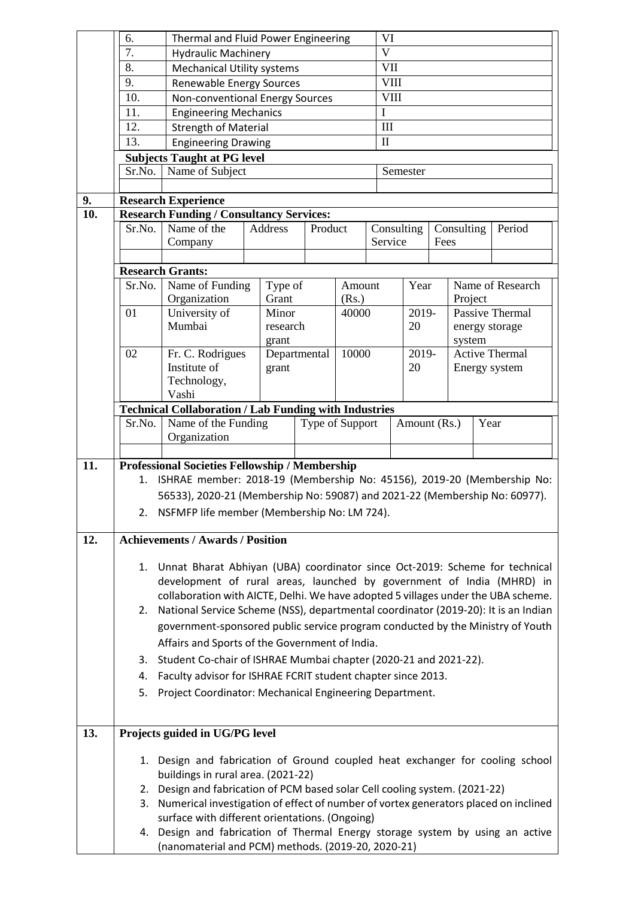|     | 6.     | Thermal and Fluid Power Engineering                                                                                                                        |                                                                               |              |         |        |              | VI                                 |      |                       |  |                  |  |
|-----|--------|------------------------------------------------------------------------------------------------------------------------------------------------------------|-------------------------------------------------------------------------------|--------------|---------|--------|--------------|------------------------------------|------|-----------------------|--|------------------|--|
|     | 7.     | <b>Hydraulic Machinery</b>                                                                                                                                 |                                                                               |              |         |        |              | $\mathbf{V}$                       |      |                       |  |                  |  |
|     | 8.     | <b>Mechanical Utility systems</b>                                                                                                                          |                                                                               |              |         |        |              | VII                                |      |                       |  |                  |  |
|     | 9.     | Renewable Energy Sources                                                                                                                                   |                                                                               |              |         |        | <b>VIII</b>  |                                    |      |                       |  |                  |  |
|     | 10.    | Non-conventional Energy Sources                                                                                                                            |                                                                               |              |         |        | <b>VIII</b>  |                                    |      |                       |  |                  |  |
|     | 11.    |                                                                                                                                                            | <b>Engineering Mechanics</b>                                                  |              |         |        | I            |                                    |      |                       |  |                  |  |
|     | 12.    | <b>Strength of Material</b>                                                                                                                                |                                                                               |              |         |        |              | III                                |      |                       |  |                  |  |
|     | 13.    | <b>Engineering Drawing</b>                                                                                                                                 |                                                                               |              |         |        | $\mathbf{I}$ |                                    |      |                       |  |                  |  |
|     |        | <b>Subjects Taught at PG level</b>                                                                                                                         |                                                                               |              |         |        |              |                                    |      |                       |  |                  |  |
|     | Sr.No. | Name of Subject                                                                                                                                            |                                                                               |              |         |        |              | Semester                           |      |                       |  |                  |  |
|     |        |                                                                                                                                                            |                                                                               |              |         |        |              |                                    |      |                       |  |                  |  |
| 9.  |        | <b>Research Experience</b>                                                                                                                                 |                                                                               |              |         |        |              |                                    |      |                       |  |                  |  |
| 10. |        | <b>Research Funding / Consultancy Services:</b>                                                                                                            |                                                                               |              |         |        |              |                                    |      |                       |  |                  |  |
|     | Sr.No. | Name of the                                                                                                                                                |                                                                               | Address      | Product |        |              | Period<br>Consulting<br>Consulting |      |                       |  |                  |  |
|     |        | Company                                                                                                                                                    |                                                                               |              |         |        | Service      |                                    | Fees |                       |  |                  |  |
|     |        |                                                                                                                                                            |                                                                               |              |         |        |              |                                    |      |                       |  |                  |  |
|     |        | <b>Research Grants:</b>                                                                                                                                    |                                                                               |              |         |        |              |                                    |      |                       |  |                  |  |
|     | Sr.No. | Name of Funding                                                                                                                                            |                                                                               | Type of      |         | Amount |              | Year                               |      |                       |  | Name of Research |  |
|     |        | Organization                                                                                                                                               |                                                                               | Grant        |         | (Rs.)  |              |                                    |      |                       |  | Project          |  |
|     | 01     | University of                                                                                                                                              |                                                                               | Minor        |         | 40000  |              | 2019-                              |      |                       |  | Passive Thermal  |  |
|     |        | Mumbai                                                                                                                                                     |                                                                               | research     |         |        |              | 20                                 |      | energy storage        |  |                  |  |
|     |        |                                                                                                                                                            |                                                                               | grant        |         |        |              |                                    |      | system                |  |                  |  |
|     | 02     | Fr. C. Rodrigues                                                                                                                                           |                                                                               | Departmental |         | 10000  |              | 2019-                              |      | <b>Active Thermal</b> |  |                  |  |
|     |        | Institute of                                                                                                                                               |                                                                               | grant        |         |        |              | 20                                 |      |                       |  | Energy system    |  |
|     |        | Technology,                                                                                                                                                |                                                                               |              |         |        |              |                                    |      |                       |  |                  |  |
|     |        | Vashi                                                                                                                                                      |                                                                               |              |         |        |              |                                    |      |                       |  |                  |  |
|     |        | <b>Technical Collaboration / Lab Funding with Industries</b><br>Year<br>Amount (Rs.)                                                                       |                                                                               |              |         |        |              |                                    |      |                       |  |                  |  |
|     | Sr.No. | Name of the Funding<br>Type of Support<br>Organization                                                                                                     |                                                                               |              |         |        |              |                                    |      |                       |  |                  |  |
|     |        |                                                                                                                                                            |                                                                               |              |         |        |              |                                    |      |                       |  |                  |  |
| 11. |        | Professional Societies Fellowship / Membership                                                                                                             |                                                                               |              |         |        |              |                                    |      |                       |  |                  |  |
|     |        | ISHRAE member: 2018-19 (Membership No: 45156), 2019-20 (Membership No:<br>1.                                                                               |                                                                               |              |         |        |              |                                    |      |                       |  |                  |  |
|     |        | 56533), 2020-21 (Membership No: 59087) and 2021-22 (Membership No: 60977).                                                                                 |                                                                               |              |         |        |              |                                    |      |                       |  |                  |  |
|     |        |                                                                                                                                                            |                                                                               |              |         |        |              |                                    |      |                       |  |                  |  |
|     |        | 2. NSFMFP life member (Membership No: LM 724).                                                                                                             |                                                                               |              |         |        |              |                                    |      |                       |  |                  |  |
| 12. |        | <b>Achievements / Awards / Position</b>                                                                                                                    |                                                                               |              |         |        |              |                                    |      |                       |  |                  |  |
|     |        |                                                                                                                                                            |                                                                               |              |         |        |              |                                    |      |                       |  |                  |  |
|     |        | 1. Unnat Bharat Abhiyan (UBA) coordinator since Oct-2019: Scheme for technical                                                                             |                                                                               |              |         |        |              |                                    |      |                       |  |                  |  |
|     |        | development of rural areas, launched by government of India (MHRD) in<br>collaboration with AICTE, Delhi. We have adopted 5 villages under the UBA scheme. |                                                                               |              |         |        |              |                                    |      |                       |  |                  |  |
|     |        |                                                                                                                                                            |                                                                               |              |         |        |              |                                    |      |                       |  |                  |  |
|     | 2.     | National Service Scheme (NSS), departmental coordinator (2019-20): It is an Indian                                                                         |                                                                               |              |         |        |              |                                    |      |                       |  |                  |  |
|     |        | government-sponsored public service program conducted by the Ministry of Youth                                                                             |                                                                               |              |         |        |              |                                    |      |                       |  |                  |  |
|     |        |                                                                                                                                                            |                                                                               |              |         |        |              |                                    |      |                       |  |                  |  |
|     |        | Affairs and Sports of the Government of India.                                                                                                             |                                                                               |              |         |        |              |                                    |      |                       |  |                  |  |
|     | 3.     | Student Co-chair of ISHRAE Mumbai chapter (2020-21 and 2021-22).                                                                                           |                                                                               |              |         |        |              |                                    |      |                       |  |                  |  |
|     | 4.     | Faculty advisor for ISHRAE FCRIT student chapter since 2013.                                                                                               |                                                                               |              |         |        |              |                                    |      |                       |  |                  |  |
|     | 5.     | Project Coordinator: Mechanical Engineering Department.                                                                                                    |                                                                               |              |         |        |              |                                    |      |                       |  |                  |  |
|     |        |                                                                                                                                                            |                                                                               |              |         |        |              |                                    |      |                       |  |                  |  |
|     |        |                                                                                                                                                            |                                                                               |              |         |        |              |                                    |      |                       |  |                  |  |
| 13. |        | Projects guided in UG/PG level                                                                                                                             |                                                                               |              |         |        |              |                                    |      |                       |  |                  |  |
|     |        |                                                                                                                                                            |                                                                               |              |         |        |              |                                    |      |                       |  |                  |  |
|     |        | 1. Design and fabrication of Ground coupled heat exchanger for cooling school                                                                              |                                                                               |              |         |        |              |                                    |      |                       |  |                  |  |
|     |        | buildings in rural area. (2021-22)                                                                                                                         |                                                                               |              |         |        |              |                                    |      |                       |  |                  |  |
|     | 2.     | Design and fabrication of PCM based solar Cell cooling system. (2021-22)                                                                                   |                                                                               |              |         |        |              |                                    |      |                       |  |                  |  |
|     |        | 3. Numerical investigation of effect of number of vortex generators placed on inclined<br>surface with different orientations. (Ongoing)                   |                                                                               |              |         |        |              |                                    |      |                       |  |                  |  |
|     |        |                                                                                                                                                            |                                                                               |              |         |        |              |                                    |      |                       |  |                  |  |
|     |        |                                                                                                                                                            | 4. Design and fabrication of Thermal Energy storage system by using an active |              |         |        |              |                                    |      |                       |  |                  |  |
|     |        | (nanomaterial and PCM) methods. (2019-20, 2020-21)                                                                                                         |                                                                               |              |         |        |              |                                    |      |                       |  |                  |  |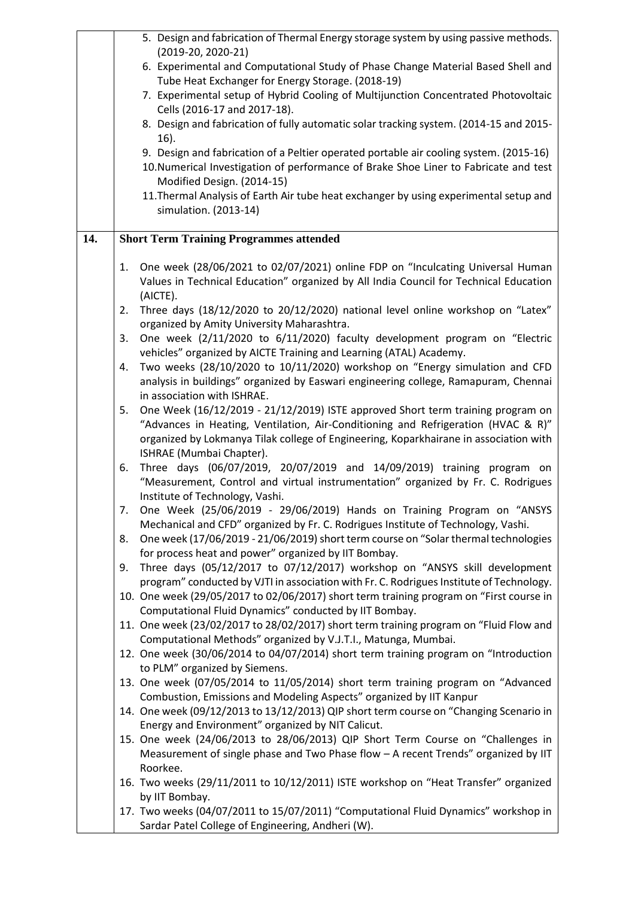|     |    | 5. Design and fabrication of Thermal Energy storage system by using passive methods.                                          |
|-----|----|-------------------------------------------------------------------------------------------------------------------------------|
|     |    | (2019-20, 2020-21)<br>6. Experimental and Computational Study of Phase Change Material Based Shell and                        |
|     |    | Tube Heat Exchanger for Energy Storage. (2018-19)                                                                             |
|     |    | 7. Experimental setup of Hybrid Cooling of Multijunction Concentrated Photovoltaic                                            |
|     |    | Cells (2016-17 and 2017-18).                                                                                                  |
|     |    | 8. Design and fabrication of fully automatic solar tracking system. (2014-15 and 2015-                                        |
|     |    | $16$ ).                                                                                                                       |
|     |    | 9. Design and fabrication of a Peltier operated portable air cooling system. (2015-16)                                        |
|     |    | 10.Numerical Investigation of performance of Brake Shoe Liner to Fabricate and test                                           |
|     |    | Modified Design. (2014-15)                                                                                                    |
|     |    | 11. Thermal Analysis of Earth Air tube heat exchanger by using experimental setup and                                         |
|     |    | simulation. (2013-14)                                                                                                         |
| 14. |    | <b>Short Term Training Programmes attended</b>                                                                                |
|     |    |                                                                                                                               |
|     | 1. | One week (28/06/2021 to 02/07/2021) online FDP on "Inculcating Universal Human                                                |
|     |    | Values in Technical Education" organized by All India Council for Technical Education                                         |
|     |    | (AICTE).                                                                                                                      |
|     | 2. | Three days (18/12/2020 to 20/12/2020) national level online workshop on "Latex"<br>organized by Amity University Maharashtra. |
|     | 3. | One week (2/11/2020 to 6/11/2020) faculty development program on "Electric                                                    |
|     |    | vehicles" organized by AICTE Training and Learning (ATAL) Academy.                                                            |
|     | 4. | Two weeks (28/10/2020 to 10/11/2020) workshop on "Energy simulation and CFD                                                   |
|     |    | analysis in buildings" organized by Easwari engineering college, Ramapuram, Chennai                                           |
|     |    | in association with ISHRAE.                                                                                                   |
|     | 5. | One Week (16/12/2019 - 21/12/2019) ISTE approved Short term training program on                                               |
|     |    | "Advances in Heating, Ventilation, Air-Conditioning and Refrigeration (HVAC & R)"                                             |
|     |    | organized by Lokmanya Tilak college of Engineering, Koparkhairane in association with                                         |
|     |    | ISHRAE (Mumbai Chapter).                                                                                                      |
|     | 6. | Three days (06/07/2019, 20/07/2019 and 14/09/2019) training program on                                                        |
|     |    | "Measurement, Control and virtual instrumentation" organized by Fr. C. Rodrigues<br>Institute of Technology, Vashi.           |
|     |    | 7. One Week (25/06/2019 - 29/06/2019) Hands on Training Program on "ANSYS                                                     |
|     |    | Mechanical and CFD" organized by Fr. C. Rodrigues Institute of Technology, Vashi.                                             |
|     | 8. | One week (17/06/2019 - 21/06/2019) short term course on "Solar thermal technologies                                           |
|     |    | for process heat and power" organized by IIT Bombay.                                                                          |
|     | 9. | Three days (05/12/2017 to 07/12/2017) workshop on "ANSYS skill development                                                    |
|     |    | program" conducted by VJTI in association with Fr. C. Rodrigues Institute of Technology.                                      |
|     |    | 10. One week (29/05/2017 to 02/06/2017) short term training program on "First course in                                       |
|     |    | Computational Fluid Dynamics" conducted by IIT Bombay.                                                                        |
|     |    | 11. One week (23/02/2017 to 28/02/2017) short term training program on "Fluid Flow and                                        |
|     |    | Computational Methods" organized by V.J.T.I., Matunga, Mumbai.                                                                |
|     |    | 12. One week (30/06/2014 to 04/07/2014) short term training program on "Introduction                                          |
|     |    | to PLM" organized by Siemens.<br>13. One week (07/05/2014 to 11/05/2014) short term training program on "Advanced             |
|     |    | Combustion, Emissions and Modeling Aspects" organized by IIT Kanpur                                                           |
|     |    | 14. One week (09/12/2013 to 13/12/2013) QIP short term course on "Changing Scenario in                                        |
|     |    | Energy and Environment" organized by NIT Calicut.                                                                             |
|     |    | 15. One week (24/06/2013 to 28/06/2013) QIP Short Term Course on "Challenges in                                               |
|     |    | Measurement of single phase and Two Phase flow - A recent Trends" organized by IIT                                            |
|     |    | Roorkee.                                                                                                                      |
|     |    | 16. Two weeks (29/11/2011 to 10/12/2011) ISTE workshop on "Heat Transfer" organized                                           |
|     |    | by IIT Bombay.                                                                                                                |
|     |    | 17. Two weeks (04/07/2011 to 15/07/2011) "Computational Fluid Dynamics" workshop in                                           |
|     |    | Sardar Patel College of Engineering, Andheri (W).                                                                             |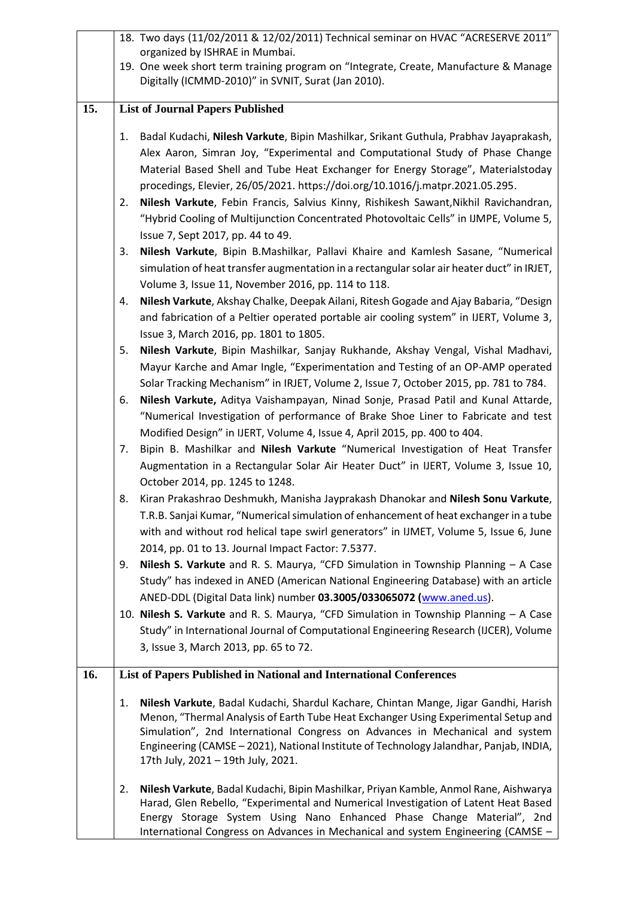|     |    | 18. Two days (11/02/2011 & 12/02/2011) Technical seminar on HVAC "ACRESERVE 2011"                                                                                      |
|-----|----|------------------------------------------------------------------------------------------------------------------------------------------------------------------------|
|     |    | organized by ISHRAE in Mumbai.                                                                                                                                         |
|     |    | 19. One week short term training program on "Integrate, Create, Manufacture & Manage                                                                                   |
|     |    | Digitally (ICMMD-2010)" in SVNIT, Surat (Jan 2010).                                                                                                                    |
| 15. |    | <b>List of Journal Papers Published</b>                                                                                                                                |
|     |    |                                                                                                                                                                        |
|     | 1. | Badal Kudachi, Nilesh Varkute, Bipin Mashilkar, Srikant Guthula, Prabhav Jayaprakash,                                                                                  |
|     |    | Alex Aaron, Simran Joy, "Experimental and Computational Study of Phase Change                                                                                          |
|     |    | Material Based Shell and Tube Heat Exchanger for Energy Storage", Materialstoday                                                                                       |
|     |    | procedings, Elevier, 26/05/2021. https://doi.org/10.1016/j.matpr.2021.05.295.                                                                                          |
|     | 2. | Nilesh Varkute, Febin Francis, Salvius Kinny, Rishikesh Sawant, Nikhil Ravichandran,                                                                                   |
|     |    | "Hybrid Cooling of Multijunction Concentrated Photovoltaic Cells" in IJMPE, Volume 5,                                                                                  |
|     |    | Issue 7, Sept 2017, pp. 44 to 49.                                                                                                                                      |
|     | 3. | Nilesh Varkute, Bipin B.Mashilkar, Pallavi Khaire and Kamlesh Sasane, "Numerical                                                                                       |
|     |    | simulation of heat transfer augmentation in a rectangular solar air heater duct" in IRJET,                                                                             |
|     |    | Volume 3, Issue 11, November 2016, pp. 114 to 118.                                                                                                                     |
|     | 4. | Nilesh Varkute, Akshay Chalke, Deepak Ailani, Ritesh Gogade and Ajay Babaria, "Design                                                                                  |
|     |    | and fabrication of a Peltier operated portable air cooling system" in IJERT, Volume 3,                                                                                 |
|     |    | Issue 3, March 2016, pp. 1801 to 1805.                                                                                                                                 |
|     | 5. | Nilesh Varkute, Bipin Mashilkar, Sanjay Rukhande, Akshay Vengal, Vishal Madhavi,                                                                                       |
|     |    | Mayur Karche and Amar Ingle, "Experimentation and Testing of an OP-AMP operated                                                                                        |
|     |    | Solar Tracking Mechanism" in IRJET, Volume 2, Issue 7, October 2015, pp. 781 to 784.                                                                                   |
|     | 6. | Nilesh Varkute, Aditya Vaishampayan, Ninad Sonje, Prasad Patil and Kunal Attarde,                                                                                      |
|     |    | "Numerical Investigation of performance of Brake Shoe Liner to Fabricate and test                                                                                      |
|     |    | Modified Design" in IJERT, Volume 4, Issue 4, April 2015, pp. 400 to 404.                                                                                              |
|     | 7. | Bipin B. Mashilkar and Nilesh Varkute "Numerical Investigation of Heat Transfer                                                                                        |
|     |    | Augmentation in a Rectangular Solar Air Heater Duct" in IJERT, Volume 3, Issue 10,                                                                                     |
|     |    | October 2014, pp. 1245 to 1248.                                                                                                                                        |
|     | 8. | Kiran Prakashrao Deshmukh, Manisha Jayprakash Dhanokar and Nilesh Sonu Varkute,                                                                                        |
|     |    | T.R.B. Sanjai Kumar, "Numerical simulation of enhancement of heat exchanger in a tube                                                                                  |
|     |    | with and without rod helical tape swirl generators" in IJMET, Volume 5, Issue 6, June                                                                                  |
|     |    | 2014, pp. 01 to 13. Journal Impact Factor: 7.5377.                                                                                                                     |
|     | 9. | Nilesh S. Varkute and R. S. Maurya, "CFD Simulation in Township Planning - A Case                                                                                      |
|     |    | Study" has indexed in ANED (American National Engineering Database) with an article                                                                                    |
|     |    | ANED-DDL (Digital Data link) number 03.3005/033065072 (www.aned.us).                                                                                                   |
|     |    | 10. Nilesh S. Varkute and R. S. Maurya, "CFD Simulation in Township Planning - A Case                                                                                  |
|     |    | Study" in International Journal of Computational Engineering Research (IJCER), Volume                                                                                  |
|     |    | 3, Issue 3, March 2013, pp. 65 to 72.                                                                                                                                  |
| 16. |    | List of Papers Published in National and International Conferences                                                                                                     |
|     |    |                                                                                                                                                                        |
|     | 1. | Nilesh Varkute, Badal Kudachi, Shardul Kachare, Chintan Mange, Jigar Gandhi, Harish                                                                                    |
|     |    | Menon, "Thermal Analysis of Earth Tube Heat Exchanger Using Experimental Setup and                                                                                     |
|     |    | Simulation", 2nd International Congress on Advances in Mechanical and system<br>Engineering (CAMSE - 2021), National Institute of Technology Jalandhar, Panjab, INDIA, |
|     |    | 17th July, 2021 - 19th July, 2021.                                                                                                                                     |
|     |    |                                                                                                                                                                        |
|     | 2. | Nilesh Varkute, Badal Kudachi, Bipin Mashilkar, Priyan Kamble, Anmol Rane, Aishwarya                                                                                   |
|     |    | Harad, Glen Rebello, "Experimental and Numerical Investigation of Latent Heat Based                                                                                    |
|     |    | Energy Storage System Using Nano Enhanced Phase Change Material", 2nd                                                                                                  |
|     |    | International Congress on Advances in Mechanical and system Engineering (CAMSE -                                                                                       |